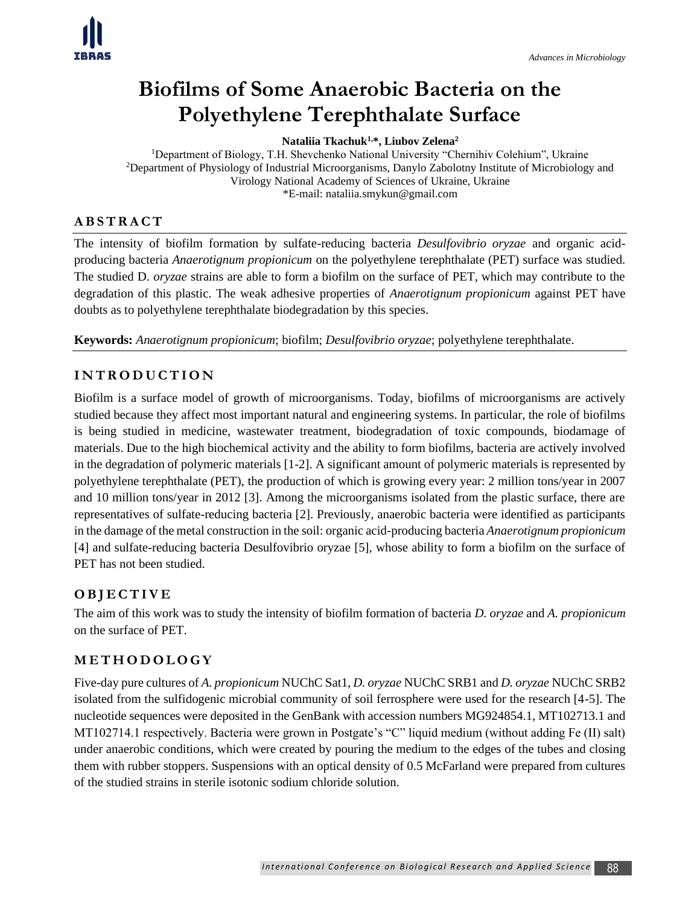# **Biofilms of Some Anaerobic Bacteria on the Polyethylene Terephthalate Surface**

**Nataliia Tkachuk1,\*, Liubov Zelena<sup>2</sup>**

<sup>1</sup>Department of Biology, T.H. Shevchenko National University "Chernihiv Colehium", Ukraine <sup>2</sup>Department of Physiology of Industrial Microorganisms, Danylo Zabolotny Institute of Microbiology and Virology National Academy of Sciences of Ukraine, Ukraine \*E-mail: nataliia.smykun@gmail.com

#### **A B S T R A C T**

The intensity of biofilm formation by sulfate-reducing bacteria *Desulfovibrio oryzae* and organic acidproducing bacteria *Anaerotignum propionicum* on the polyethylene terephthalate (PET) surface was studied. The studied D. *oryzae* strains are able to form a biofilm on the surface of PET, which may contribute to the degradation of this plastic. The weak adhesive properties of *Anaerotignum propionicum* against PET have doubts as to polyethylene terephthalate biodegradation by this species.

**Keywords:** *Anaerotignum propionicum*; biofilm; *Desulfovibrio oryzae*; polyethylene terephthalate.

#### **I N T R O D U C T I O N**

Biofilm is a surface model of growth of microorganisms. Today, biofilms of microorganisms are actively studied because they affect most important natural and engineering systems. In particular, the role of biofilms is being studied in medicine, wastewater treatment, biodegradation of toxic compounds, biodamage of materials. Due to the high biochemical activity and the ability to form biofilms, bacteria are actively involved in the degradation of polymeric materials [1-2]. A significant amount of polymeric materials is represented by polyethylene terephthalate (PET), the production of which is growing every year: 2 million tons/year in 2007 and 10 million tons/year in 2012 [3]. Among the microorganisms isolated from the plastic surface, there are representatives of sulfate-reducing bacteria [2]. Previously, anaerobic bacteria were identified as participants in the damage of the metal construction in the soil: organic acid-producing bacteria *Anaerotignum propionicum* [4] and sulfate-reducing bacteria Desulfovibrio oryzae [5], whose ability to form a biofilm on the surface of PET has not been studied.

#### **O B J E C T I V E**

The aim of this work was to study the intensity of biofilm formation of bacteria *D. oryzae* and *A. propionicum*  on the surface of PET.

#### **M E T H O D O L O G Y**

Five-day pure cultures of *A. propionicum* NUChC Sat1, *D. oryzae* NUChC SRB1 and *D. oryzae* NUChC SRB2 isolated from the sulfidogenic microbial community of soil ferrosphere were used for the research [4-5]. The nucleotide sequences were deposited in the GenBank with accession numbers MG924854.1, MT102713.1 and MT102714.1 respectively. Bacteria were grown in Postgate's "C" liquid medium (without adding Fe (II) salt) under anaerobic conditions, which were created by pouring the medium to the edges of the tubes and closing them with rubber stoppers. Suspensions with an optical density of 0.5 McFarland were prepared from cultures of the studied strains in sterile isotonic sodium chloride solution.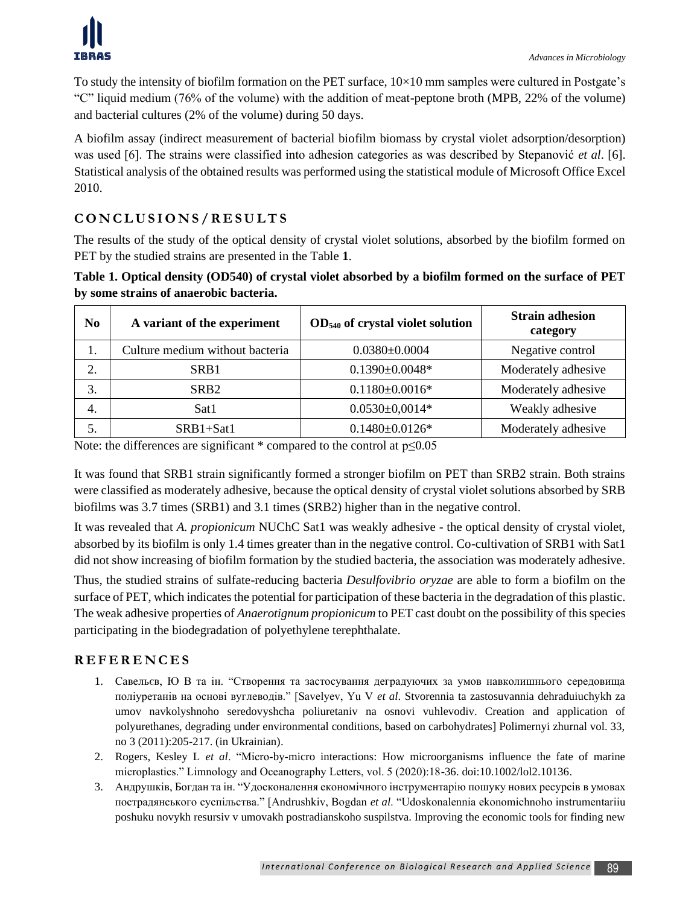To study the intensity of biofilm formation on the PET surface,  $10\times10$  mm samples were cultured in Postgate's "C" liquid medium (76% of the volume) with the addition of meat-peptone broth (MPB, 22% of the volume) and bacterial cultures (2% of the volume) during 50 days.

A biofilm assay (indirect measurement of bacterial biofilm biomass by crystal violet adsorption/desorption) was used [6]. The strains were classified into adhesion categories as was described by Stepanović *et al*. [6]. Statistical analysis of the obtained results was performed using the statistical module of Microsoft Office Excel 2010.

## **C O N C L U S I O N S / R E S U L T S**

The results of the study of the optical density of crystal violet solutions, absorbed by the biofilm formed on PET by the studied strains are presented in the Table **1**.

#### **Table 1. Optical density (OD540) of crystal violet absorbed by a biofilm formed on the surface of PET by some strains of anaerobic bacteria.**

| No. | A variant of the experiment     | $OD540$ of crystal violet solution | <b>Strain adhesion</b><br>category |
|-----|---------------------------------|------------------------------------|------------------------------------|
| . . | Culture medium without bacteria | $0.0380\pm0.0004$                  | Negative control                   |
| 2.  | SRB1                            | $0.1390 \pm 0.0048*$               | Moderately adhesive                |
| 3.  | SR <sub>B2</sub>                | $0.1180 \pm 0.0016*$               | Moderately adhesive                |
| 4.  | Sat1                            | $0.0530 \pm 0.0014*$               | Weakly adhesive                    |
|     | SRB1+Sat1                       | $0.1480 \pm 0.0126$ *              | Moderately adhesive                |

Note: the differences are significant  $*$  compared to the control at  $p \le 0.05$ 

It was found that SRB1 strain significantly formed a stronger biofilm on PET than SRB2 strain. Both strains were classified as moderately adhesive, because the optical density of crystal violet solutions absorbed by SRB biofilms was 3.7 times (SRB1) and 3.1 times (SRB2) higher than in the negative control.

It was revealed that *A. propionicum* NUChC Sat1 was weakly adhesive - the optical density of crystal violet, absorbed by its biofilm is only 1.4 times greater than in the negative control. Co-cultivation of SRB1 with Sat1 did not show increasing of biofilm formation by the studied bacteria, the association was moderately adhesive.

Thus, the studied strains of sulfate-reducing bacteria *Desulfovibrio oryzae* are able to form a biofilm on the surface of PET, which indicates the potential for participation of these bacteria in the degradation of this plastic. The weak adhesive properties of *Anaerotignum propionicum* to PET cast doubt on the possibility of this species participating in the biodegradation of polyethylene terephthalate.

### **R E F E R E N C E S**

- 1. Савельєв, Ю В та ін. "Створення та застосування деградуючих за умов навколишнього середовища поліуретанів на основі вуглеводів." [Savelyev, Yu V *et al*. Stvorennia ta zastosuvannia dehraduiuchykh za umov navkolyshnoho seredovyshcha poliuretaniv na osnovi vuhlevodiv. Creation and application of polyurethanes, degrading under environmental conditions, based on carbohydrates] Polimernyi zhurnal vol. 33, no 3 (2011):205-217. (in Ukrainian).
- 2. Rogers, Kesley L *et al*. "Micro-by-micro interactions: How microorganisms influence the fate of marine microplastics." Limnology and Oceanography Letters, vol. 5 (2020):18-36. doi:10.1002/lol2.10136.
- 3. Андрушків, Богдан та ін. "Удосконалення економічного інструментарію пошуку нових ресурсів в умовах пострадянського суспільства." [Andrushkiv, Bogdan *et al*. "Udoskonalennia ekonomichnoho instrumentariiu poshuku novykh resursiv v umovakh postradianskoho suspilstva. Improving the economic tools for finding new